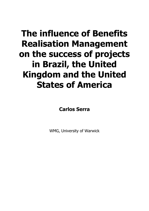# **The influence of Benefits Realisation Management on the success of projects in Brazil, the United Kingdom and the United States of America**

**Carlos Serra**

WMG, University of Warwick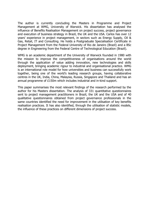The author is currently concluding the Masters in Programme and Project Management at WMG, University of Warwick. His dissertation has analysed the influence of Benefits Realisation Management on project success, project governance and execution of business strategy in Brazil, the UK and the USA. Carlos has over 12 years' experience in project management, in sectors such as Energy Supply, Oil & Gas, Retail, IT and Consulting. He holds a Postgraduate Specialisation Certificate in Project Management from the Federal University of Rio de Janeiro (Brazil) and a BSc degree in Engineering from the Federal Centre of Technological Education (Brazil).

WMG is an academic department of the University of Warwick founded in 1980 with the mission to improve the competitiveness of organisations around the world through the application of value adding innovation, new technologies and skills deployment, bringing academic rigour to industrial and organisational practice. WMG is an international role model for how universities and business can successfully work together, being one of the world's leading research groups, having collaborative centres in the UK, India, China, Malaysia, Russia, Singapore and Thailand and has an annual programme of £150m which includes industrial and in-kind support.

This paper summarises the most relevant findings of the research performed by the author for his Masters dissertation. The analysis of 331 quantitative questionnaires sent to project management practitioners in Brazil, the UK and the USA and of 40 qualitative questionnaires obtained from project governance professionals in the same countries identified the need for improvement in the utilisation of key benefits realisation practices. It has also identified, through the utilisation of statistic models, the influence of these practices on different dimensions of project success.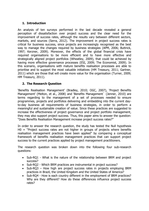# **1. Introduction**

An analysis of ten surveys performed in the last decade revealed a general perception of dissatisfaction over project success and the clear need for the improvement of success rates, although the results vary between different sectors, markets, and sources (Serra, 2012). The improvement in project success rates is critical for business success, since projects are increasingly recognised as the best way to manage the changes required by business strategies (APM, 2006; Buttrick, 1997; Kerzner, 2009). Moreover, the effects of the global financial crisis have required organisations to be more efficient and to have more effective and strategically aligned project portfolios (Wheatley, 2009), that could be achieved by having more effective governance processes (ESI, 2009; The Economist, 2009). In this scenario, organisations with mature benefits realisation processes are able to prioritise and to support the most valuable initiatives (HM Treasury, 2011; Gartner, 2011) which are those that will create more value for the organisation (Turner, 2009; HM Treasury, 2011).

# **2. The Research Question**

'Benefits Realisation Management' (Bradley, 2010; OGC, 2007), 'Project Benefits Management' (Melton, et al., 2008) and 'Benefits Management` (Jenner, 2010) are terms regarding to the management of a set of processes needed to ensure programmes, projects and portfolios delivering and embedding into the current dayto-day business all requirements of business strategies, in order to perform a meaningful and sustainable creation of value. Since these practices are suggested to increase the effectiveness of project governance and project portfolio management, they may also support project success. Thus, this paper aims to answer the question: "Does Benefits Realisation Management increase project success rates?"

In order to answer the research question, the study has tested the Null hypothesis  $H0 =$  "Project success rates are not higher in groups of projects where benefits realisation management practices have been applied" by comparing a conceptual framework of benefits realisation management practices that can support project success to the current practices applied by project management practitioners.

The research question was broken down into the following four sub-research questions:

- Sub-RQ1 What is the nature of the relationship between BRM and project success?
- Sub-RQ2 Which BRM practices are instrumental in project success?
- Sub-RQ3 How high are project success rates in projects employing BRM practices in Brazil, the United Kingdom and the United States of America?
- Sub-RQ4 How is each country different in the employment of BRM practices? Why are they different? How do these differences influence project success rates?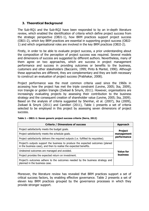### **3. Theoretical Background**

The Sub-RQ1 and the Sub-RQ2 have been responded to by an in-depth literature review, which enabled the identification of criteria which define project success from the strategic perspective (OBJ1-1), how BRM practices support project success (OBJ1-2), which key BRM practices are essential in supporting project success (OBJ2- 1) and which organisational roles are involved in the key BRM practices (OBJ2-2).

Firstly, in order to be able to evaluate project success, a prior understanding about the composition of the perception of project success was required. Several models and dimensions of success are suggested by different authors. Nevertheless, many of them agree on two approaches, which are success in project management performance and success in providing outcomes or benefits to the business, customers and other stakeholders (Baccarini, 1999; Pinto & Mantel, 1990). Although these approaches are different, they are complementary and they are both necessary to construct an evaluation of project success (Prabhakar, 2008).

Project performance was the most common criteria used since the 1960s in accessing how the project has met the triple constraint (Levine, 2005; Ika, 2009), iron triangle or golden triangle (Zwikael & Smyrk, 2011). However, organisations are increasingly evaluating projects by assessing their contribution to the business strategy and the consequent creation of shareholder value (Levine, 2005; Ika, 2009). Based on the analysis of criteria suggested by Shenhar, et al. (2007), Ika (2009), Zwikael & Smyrk (2011) and Camilleri (2011), Table 1 presents a set of criteria selected to be employed in this project by assessing seven dimensions of project success.

| <b>Criteria / Dimensions of success</b>                                                                                                              | <b>Approach</b>  |
|------------------------------------------------------------------------------------------------------------------------------------------------------|------------------|
| Project satisfactorily meets the budget goals.                                                                                                       | <b>Project</b>   |
| Project satisfactorily meets the schedule goals.                                                                                                     | management       |
| Project satisfactorily delivers the required outputs (i.e. fulfilled its requisites).                                                                | performance      |
| Project's outputs support the business to produce the expected outcomes (planed<br>in the business case), and then to realise the expected benefits. |                  |
| Undesired outcomes are managed and avoided.                                                                                                          | <b>Value for</b> |
| Project provides the expected return on investment.                                                                                                  | <b>business</b>  |
| Project's outcomes adhere to the outcomes needed by the business strategy and<br>planned in the business case.                                       |                  |

| Table 1 – OBJ1-1: Seven generic project success criteria (Serra, 2012) |  |  |
|------------------------------------------------------------------------|--|--|
|                                                                        |  |  |

Moreover, the literature review has revealed that BRM practices support a set of critical success factors, by enabling effective governance. Table 2 presents a set of eleven key BRM practices grouped by the governance processes in which they provide stronger support.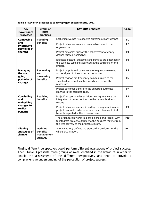| <b>Key</b><br>Governance<br>processes                            | <b>Group of</b><br><b>BRM</b><br>practices                                                                                                                       | <b>Key BRM practices</b>                                                                                                                                               | <b>Code</b>     |
|------------------------------------------------------------------|------------------------------------------------------------------------------------------------------------------------------------------------------------------|------------------------------------------------------------------------------------------------------------------------------------------------------------------------|-----------------|
| <b>Planning</b><br><b>Composing</b>                              |                                                                                                                                                                  | Each initiative has its expected outcomes clearly defined.                                                                                                             |                 |
| and<br>prioritising<br>portfolios of                             | <b>benefits</b>                                                                                                                                                  | Project outcomes create a measurable value to the<br>organisation.                                                                                                     | P <sub>2</sub>  |
| changes                                                          |                                                                                                                                                                  | Project outcomes support the achievement of clearly<br>defined strategic objectives.                                                                                   | P <sub>3</sub>  |
|                                                                  |                                                                                                                                                                  | Expected outputs, outcomes and benefits are described in<br>the business case and approved at the beginning of the<br>project.                                         | P <sub>4</sub>  |
| <b>Managing</b><br>the on-                                       | <b>Reviewing</b><br>and                                                                                                                                          | Project outputs and outcomes are frequently reviewed<br>and realigned to the current expectations.                                                                     | P <sub>5</sub>  |
| going<br>measuring<br><b>benefits</b><br>portfolio of<br>changes |                                                                                                                                                                  | Project reviews are frequently communicated to the<br>stakeholders as well as their needs are frequently<br>reassessed.                                                |                 |
|                                                                  | Project outcomes adhere to the expected outcomes<br>planned in the business case.                                                                                | P7                                                                                                                                                                     |                 |
| <b>Concluding</b><br>and<br>embedding                            | <b>Realising</b><br><b>benefits</b>                                                                                                                              | Project's scope includes activities aiming to ensure the<br>integration of project outputs to the regular business<br>routine.                                         | P <sub>8</sub>  |
| changes to<br>realise<br><b>benefits</b>                         | Project outcomes are monitored by the organisation after<br>project closure in order to ensure the achievement of all<br>benefits expected in the business case. |                                                                                                                                                                        |                 |
|                                                                  |                                                                                                                                                                  | The organisation works in a pre-planned and regular way<br>to integrate project outputs into the business routine from<br>the first delivery to the project's closure. | P <sub>10</sub> |
| <b>Aligning</b><br>strategies of<br>change                       | <b>Defining</b><br><b>benefits</b><br>management<br>strategy                                                                                                     | A BRM strategy defines the standard procedures for the<br>whole organisation.                                                                                          | P11             |

**Table 2 - Key BRM practices to support project success (Serra, 2012)**

Finally, different perspectives could perform different evaluations of project success. Then, Table 3 presents three groups of roles identified in the literature in order to enable the assessment of the different perspectives, and then to provide a comprehensive understanding of the perception of project success.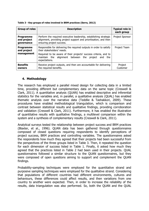| <b>Group of roles</b>                         | <b>Description</b>                                                                                                                                                                                                                              | <b>Typical role in</b><br>each group |
|-----------------------------------------------|-------------------------------------------------------------------------------------------------------------------------------------------------------------------------------------------------------------------------------------------------|--------------------------------------|
| <b>Programme</b><br>and project<br>qovernance | Perform the required executive leadership, establishing strategic<br>alignment, providing project support and prioritisation, and then<br>ensuring project success.                                                                             | Project Sponsor                      |
| Programme<br>and project<br>management        | Responsible for delivering the required outputs in order to satisfy<br>their stakeholders' needs.<br>Required to be aware of their projects' success criteria, and to<br>maintain the alignment between the project and<br>the<br>expectations. | Project Team                         |
| <b>Benefits</b><br>owners                     | Receive project outputs, and then are accountable for delivering<br>the required benefits.                                                                                                                                                      | Project<br>Customer                  |

**Table 3 - Key groups of roles involved in BRM practices (Serra, 2012)**

# **4. Methodology**

The research has employed a parallel mixed design for collecting data in a limited time, providing different but complementary data on the same topic (Creswell & Clark, 2011). A quantitative analysis (QUAN) has enabled descriptive and inferential statistics for the variables and, in parallel, a qualitative analysis (QUAL) has enabled thematic analysis over the narrative data (Teddlie & Tashakkori, 2009). These procedures have enabled methodological triangulation, which is comparison and contrast between statistical results and qualitative findings, providing corroboration and validation (Creswell & Clark, 2011). Furthermore, it has enabled the illustration of quantitative results with qualitative findings, a multilevel comparison within the system and a synthesis of complementary results (Creswell & Clark, 2011).

Analytical surveys tested the relationship between project success and BRM practices (Blaxter, et al., 1996). QUAN data has been gathered through questionnaires composed of closed questions requiring respondents to identify perceptions of project success, BRM practices and controlling variables. The questionnaires asked the respondents how much they agreed that their projects had been successful from the perspectives of the three groups listed in Table 3. Then, it repeated the question for each dimension of success listed in Table 1. Finally, it asked how much they agreed that the practices listed in Table 2 had been used in their projects. QUAL questionnaires followed a similar structure to the QUAN questionnaires, but they were composed of open questions aiming to support and complement the QUAN findings.

Probability-sampling techniques were employed for the quantitative strand and purposive sampling techniques were employed for the qualitative strand. Considering that populations of different countries had different environments, cultures and behaviours, these differences could affect results, and then variations from one country to another were expected. Then, in order to increase the reliability of the results, data triangulation was also performed. So, both the QUAN and the QUAL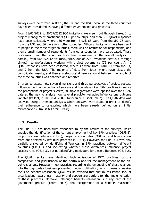surveys were performed in Brazil, the UK and the USA, because the three countries have been considered as having different environments and practices.

From 21/05/2012 to 26/07/2012 900 invitations were sent out through LinkedIn to project management practitioners (300 per country), and then 331 QUAN responses have been collected, where 156 were from Brazil, 63 were from the UK, 76 were from the USA and 36 were from other countries. Although invitations have been sent to people in the three target countries, there was no restriction for respondents, and then a small number of respondents from other countries have participated. These responses from other countries have been considered in the overall analysis. In parallel, from 06/06/2012 to 18/07/2012, out of 225 invitations sent out through LinkedIn to professionals working with project governance (75 per country), 40 QUAL responses have been collected, where 17 were from Brazil, 14 from the UK, and 9 from the USA. The majority of data from Brazil might have biased the consolidated results, and then any statistical difference found between the results of the three countries was analysed and reported.

In order to assess how seven dimensions and three perspectives of project success influence the final perception of success and how eleven key BRM practices influence the perceptions of project success, multiple regressions were applied over the QUAN data as the way to analyse how several predictor variables influence one outcome variable (Pallant, 2010; Field, 2009; Tabachnick & Fidell, 2007). The QUAN data was analysed using a thematic analysis, where answers were coded in order to identify their adherence to categories, which have been already defined on an initial microanalysis (Strauss & Corbin, 1998).

#### **5. Results**

The Sub-RQ3 has been fully responded to by the results of the surveys, which enabled the identification of the current employment of key BRM practices (OBJ3-3), project success criteria (OBJ3-1), project success rates (OBJ3-2) and how success rates are affected by key BRM practices (OBJ3-4). However, the Sub-RQ4 was only partially answered by identifying differences in BRM practices between different countries (OBJ4-1) and identifying whether these differences influence project success rates (OBJ4-3), but not identifying motivators for these differences (OBJ4-2).

The QUAN results have identified high utilisation of BRM practices for the composition and prioritisation of the portfolio and for the management of the ongoing changes. However, most practices regarding the embedding of these changes into the day-to-day business presented medium utilisation, which means a weaker focus on benefits realisation. QUAL results revealed that cultural resistance, lack of organisational awareness, maturity and support are barriers for the implementation of these practices. Moreover, although benefits realisation is a key part of the governance process (Thorp, 2007), the incorporation of a benefits realisation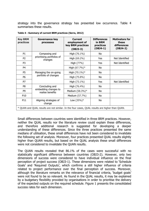strategy into the governance strategy has presented low occurrence. Table 4 summarises these results.

| <b>Key BRM</b><br>practices                                                                    | <b>Governance key</b><br>processes                         | <b>Current</b><br>employment of<br>key BRM practices<br>$(OBJ3-3)$ | <b>Differences</b><br>in BRM<br>practices<br>$(OBJ4-1)$ | <b>Motivators for</b><br>these<br>differences<br>$(OBJ4-2)$ |
|------------------------------------------------------------------------------------------------|------------------------------------------------------------|--------------------------------------------------------------------|---------------------------------------------------------|-------------------------------------------------------------|
| P <sub>1</sub>                                                                                 | Composing and                                              | High (76.1%)                                                       | No                                                      |                                                             |
| P <sub>2</sub>                                                                                 | prioritising portfolios of<br>changes                      | High (69.2%)                                                       | Yes                                                     | Not Identified                                              |
| P <sub>3</sub>                                                                                 |                                                            | High (77%)                                                         | Yes                                                     | Not Identified                                              |
| P <sub>4</sub>                                                                                 |                                                            | High (67.7%)*                                                      | No                                                      |                                                             |
| P <sub>5</sub>                                                                                 | Managing the on-going<br>portfolio of changes              | High (70.1%)*                                                      | No                                                      |                                                             |
| P <sub>6</sub>                                                                                 |                                                            | High (75.8%)                                                       | No                                                      |                                                             |
| P7                                                                                             |                                                            | High (73.1%)                                                       | Yes                                                     | Not Identified                                              |
| P <sub>8</sub>                                                                                 | Concluding and<br>embedding changes to<br>realise benefits | High (76.4%)                                                       | No                                                      |                                                             |
| P <sub>9</sub>                                                                                 |                                                            | Medium (58.3%)*                                                    | No                                                      |                                                             |
| P10                                                                                            |                                                            | Medium (57.7%)                                                     | No                                                      |                                                             |
| P11                                                                                            | Aligning strategies of<br>change                           | Low $(35%)$ *                                                      | No                                                      |                                                             |
| * QUAN and QUAL results are not similar. In the four cases, QUAL results are higher than QUAN. |                                                            |                                                                    |                                                         |                                                             |

| Table 4 - Summary of current BRM practices (Serra, 2012) |  |  |
|----------------------------------------------------------|--|--|
|                                                          |  |  |

Small differences between countries were identified in three BRM practices. However, neither the QUAL results nor the literature review could explain these differences, and therefore additional research is suggested for developing a deeper understanding of these differences. Since the three practices presented the same medians of utilisation, these small differences have not been considered to invalidate the following set of analysis. Moreover, four practices presented QUAL results slightly higher than QUAN results, but based on the QUAL analysis these small differences were not considered to invalidate the QUAN results.

The QUAN results revealed that 86.1% of the cases were successful with no statistically significant difference between countries (OBJ3-2). However, only two dimensions of success were considered to have individual influence on the final perception of project success (OBJ3-1). These dimensions were related to 'Schedule Goals' and 'Required Outputs', which confirms a still higher influence of criteria related to project performance over the final perception of success. Moreover, although the literature remarks on the relevance of financial criteria, 'budget goals' were not found to be so relevant. As found in the QUAL results, it may be explained by a budgetary flexibility provided by organisations in order to prioritise the delivery of the expected outputs on the required schedule. Figure 1 presents the consolidated success rates for each dimension.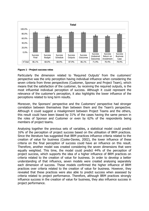

#### **Figure 1 - Project success rates**

Particularly the dimension related to 'Required Outputs' from the customers' perspective was the only perception having individual influence when considering the seven criteria from three perspectives (Customer, Sponsor and Project Team), which means that the satisfaction of the customer, by receiving the required outputs, is the most influential individual perception of success. Although it could represent the relevance of the customer's perception, it also highlights the lower influence of the perceptions related to long term results.

Moreover, the Sponsors' perspective and the Customers' perspective had stronger correlation between themselves than between them and the Team's perspective. Although it could suggest a misalignment between Project Teams and the others, this result could have been biased by 31% of the cases having the same person in the roles of Sponsor and Customer or even by 62% of the respondents being members of project teams.

Analysing together the previous sets of variables, a statistical model could predict 16% of the perception of project success based on the utilisation of BRM practices. Since the literature has suggested that BRM practices influence criteria related to the creation of value for business (Cooke-Davies, 2002), the lower influence of these criteria on the final perception of success could have an influence on this result. Therefore, another model was created considering the seven dimensions that were equally weighted. This time, the model could predict 44% of the perception of project success, which supports the idea of a higher influence of BRM practices on criteria related to the creation of value for business. In order to develop a better understanding of that influence, seven models were created analysing separately each dimension of success. These models confirmed the higher influence of BRM practices over criteria related to the creation of value for business. However, they revealed that these practices were also able to predict success when assessed by criteria related to project performance. Therefore, although BRM practices strongly influence success in the creation of value for business, they also influence success in project performance.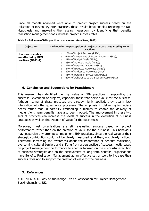Since all models analysed were able to predict project success based on the utilisation of eleven key BRM practices, these results have enabled rejecting the Null Hypothesis and answering the research question, by identifying that benefits realisation management does increase project success rates.

| <b>Objectives</b>        | Variance in the perception of project success predicted by BRM<br><b>practices</b>                |
|--------------------------|---------------------------------------------------------------------------------------------------|
| <b>How success rates</b> | 16% of Project Success (PSFs);<br>$\circ$                                                         |
| are affected by BRM      | 44% of Dimensions of Project Success (PSDs);<br>$\circ$<br>21% of Budget Goals (PSBs);<br>$\circ$ |
| practices (OBJ3-4)       | 23% of Schedule Goals (PSSs);<br>$\circ$                                                          |
|                          | 27% of Required Outputs (PSRs);<br>$\circ$                                                        |
|                          | 27% of Expected Outcomes (PSEs);<br>$\circ$                                                       |
|                          | 29% of Undesired Outcomes (PSUs);<br>$\circ$                                                      |
|                          | 31% of Return on Investment (PSIs);<br>$\circ$                                                    |
|                          | o 42% of Adherence to the Business Case (PSCs).                                                   |

**Table 5 – Influence of BRM practices over success rates (Serra, 2012)**

#### **6. Conclusion and Suggestions for Practitioners**

This research has identified the high value of BRM practices in supporting the successful execution of projects, especially those that deliver value for the business. Although some of these practices are already highly applied, they clearly lack integration into the governance processes. The emphasis in delivering immediate needs rather than in carefully embedding outcomes to enable the delivery of medium/long term benefits have also been noticed. The improvement in these two sets of practices can increase the levels of success in the execution of business strategies as well as the creation of value for the businesses.

Moreover, most organisations are still evaluating success based on project performance rather than on the creation of value for the business. This behaviour may jeopardise any attempt to implement BRM practices, since the real value of their strategic contribution could not be clearly measured, and then, not clearly noticed. Therefore, increasing the awareness about the importance of benefits realisation, overcoming cultural barriers and shifting from a perspective of success mostly based on project management performance to another focused on the successful execution of business strategies and on the achievement of long term benefits, organisations have Benefits Realisation Management as an effective set of tools to increase their success rates and to support the creation of value for the business.

#### **7. References**

APM, 2006. APM Body of Knowledge. 5th ed. Association for Project Management. Buckinghamshire, UK.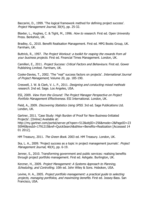Baccarini, D., 1999. 'The logical framework method for defining project success'. Project Management Journal, 30(4), pp. 25-32.

Blaxter, L., Hughes, C. & Tight, M., 1996. How to research. First ed. Open University Press. Berkshire, UK.

Bradley, G., 2010. Benefit Realisation Management. First ed. MPG Books Group, UK. Farnham, UK.

Buttrick, R., 1997. The Project Workout: a toolkit for reaping the rewards from all your business projects. First ed. Financial Times Management. London, UK.

Camilleri, E., 2011. Project Success: Critical Factors and Behaviours. First ed. Gower Publishing Limited. Farnham, UK.

Cooke-Davies, T., 2002. 'The ''real'' success factors on projects'. International Journal of Project Management, Volume 20, pp. 185-190.

Creswell, J. W. & Clark, V. L. P., 2011. Designing and conducting mixed methods research. 2nd ed. Sage. Los Angeles, USA.

ESI, 2009. View from the Ground: The Project Manager Perspective on Project Portfolio Management Effectiveness. ESI International. London, UK.

Field, A., 2009. *Discovering Statistics Using SPSS*. 3rd ed. Sage Publications Ltd. London, UK.

Gartner, 2011. 'Case Study: High Burden of Proof for New Business-Initiated Projects'. [Online] Available at:

http://my.gartner.com/portal/server.pt?open=512&objID=256&mode=2&PageID=23 50940&resId=1791215&ref=QuickSearch&sthkw=Benefits+Realization [Accessed 14 01 2012].

HM Treasury, 2011. The Green Book. 2003 ed. HM Treasury. London, UK.

Ika, L. A., 2009. 'Project success as a topic in project management journals'. Project Management Journal, 40(4), pp. 6-19.

Jenner, S., 2010. Transforming government and public services: realising benefits through project portfolio management. First ed. Ashgate. Burlington, UK.

Kerzner, H., 2009. Project Management: A Systems Approach to Planning, Scheduling, and Controlling. 10th ed. John Wiley & Sons. Hoboken, USA.

Levine, H. A., 2005. *Project portfolio management: a practical quide to selecting* projects, managing portfolios, and maximizing benefits. First ed. Jossey-Bass. San Francisco, USA.